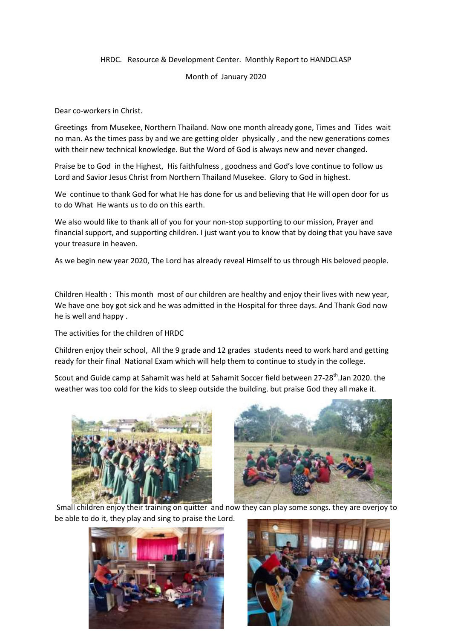## HRDC. Resource & Development Center. Monthly Report to HANDCLASP

## Month of January 2020

Dear co-workers in Christ.

Greetings from Musekee, Northern Thailand. Now one month already gone, Times and Tides wait no man. As the times pass by and we are getting older physically , and the new generations comes with their new technical knowledge. But the Word of God is always new and never changed.

Praise be to God in the Highest, His faithfulness , goodness and God's love continue to follow us Lord and Savior Jesus Christ from Northern Thailand Musekee. Glory to God in highest.

We continue to thank God for what He has done for us and believing that He will open door for us to do What He wants us to do on this earth.

We also would like to thank all of you for your non-stop supporting to our mission, Prayer and financial support, and supporting children. I just want you to know that by doing that you have save your treasure in heaven.

As we begin new year 2020, The Lord has already reveal Himself to us through His beloved people.

Children Health : This month most of our children are healthy and enjoy their lives with new year, We have one boy got sick and he was admitted in the Hospital for three days. And Thank God now he is well and happy .

The activities for the children of HRDC

Children enjoy their school, All the 9 grade and 12 grades students need to work hard and getting ready for their final National Exam which will help them to continue to study in the college.

Scout and Guide camp at Sahamit was held at Sahamit Soccer field between 27-28<sup>th</sup>.Jan 2020. the weather was too cold for the kids to sleep outside the building. but praise God they all make it.





Small children enjoy their training on quitter and now they can play some songs. they are overjoy to be able to do it, they play and sing to praise the Lord.



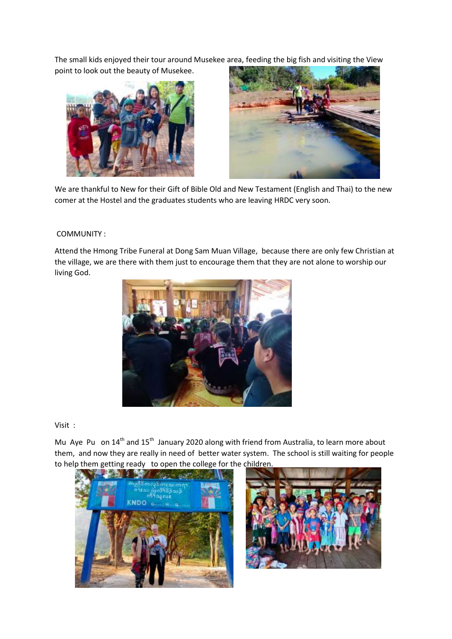The small kids enjoyed their tour around Musekee area, feeding the big fish and visiting the View point to look out the beauty of Musekee.





We are thankful to New for their Gift of Bible Old and New Testament (English and Thai) to the new comer at the Hostel and the graduates students who are leaving HRDC very soon.

## COMMUNITY :

Attend the Hmong Tribe Funeral at Dong Sam Muan Village, because there are only few Christian at the village, we are there with them just to encourage them that they are not alone to worship our living God.



## Visit :

Mu Aye Pu on 14<sup>th</sup> and 15<sup>th</sup> January 2020 along with friend from Australia, to learn more about them, and now they are really in need of better water system. The school is still waiting for people to help them getting ready to open the college for the children.



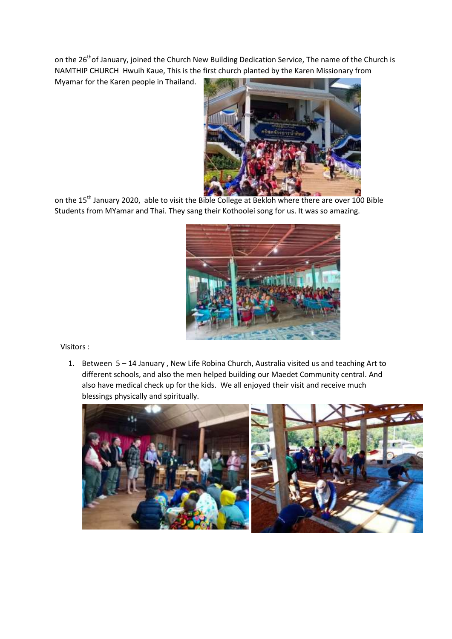on the 26<sup>th</sup>of January, joined the Church New Building Dedication Service, The name of the Church is NAMTHIP CHURCH Hwuih Kaue, This is the first church planted by the Karen Missionary from

Myamar for the Karen people in Thailand.



on the 15<sup>th</sup> January 2020, able to visit the Bible College at Bekloh where there are over 100 Bible Students from MYamar and Thai. They sang their Kothoolei song for us. It was so amazing.



Visitors :

1. Between 5 – 14 January , New Life Robina Church, Australia visited us and teaching Art to different schools, and also the men helped building our Maedet Community central. And also have medical check up for the kids. We all enjoyed their visit and receive much blessings physically and spiritually.

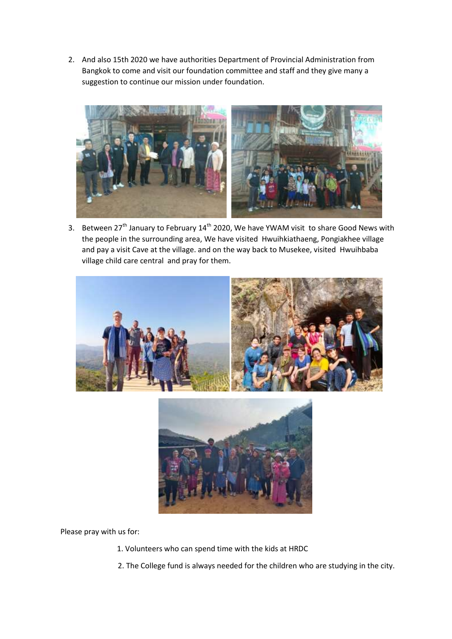2. And also 15th 2020 we have authorities Department of Provincial Administration from Bangkok to come and visit our foundation committee and staff and they give many a suggestion to continue our mission under foundation.



3. Between 27<sup>th</sup> January to February 14<sup>th</sup> 2020, We have YWAM visit to share Good News with the people in the surrounding area, We have visited Hwuihkiathaeng, Pongiakhee village and pay a visit Cave at the village. and on the way back to Musekee, visited Hwuihbaba village child care central and pray for them.



Please pray with us for:

- 1. Volunteers who can spend time with the kids at HRDC
- 2. The College fund is always needed for the children who are studying in the city.